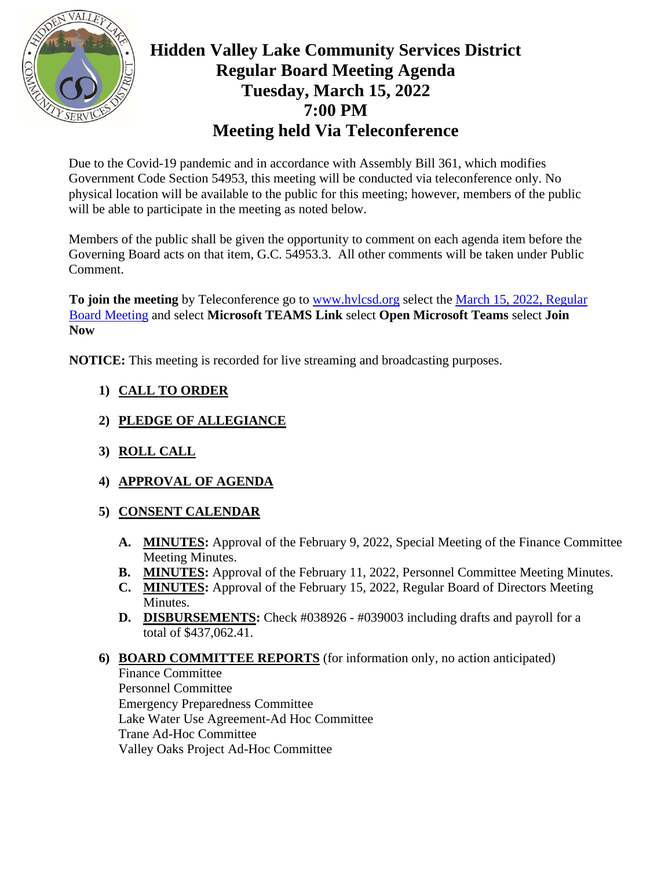

# **Hidden Valley Lake Community Services District Regular Board Meeting Agenda Tuesday, March 15, 2022 7:00 PM Meeting held Via Teleconference**

Due to the Covid-19 pandemic and in accordance with Assembly Bill 361, which modifies Government Code Section 54953, this meeting will be conducted via teleconference only. No physical location will be available to the public for this meeting; however, members of the public will be able to participate in the meeting as noted below.

Members of the public shall be given the opportunity to comment on each agenda item before the Governing Board acts on that item, G.C. 54953.3. All other comments will be taken under Public Comment.

**To join the meeting** by Teleconference go to [www.hvlcsd.org](http://www.hvlcsd.org/) select the March [15, 2022, Regular](https://www.hvlcsd.org/2022-03-15-board-meeting)  Board [Meeting](https://www.hvlcsd.org/2022-03-15-board-meeting) and select **Microsoft TEAMS Link** select **Open Microsoft Teams** select **Join Now**

**NOTICE:** This meeting is recorded for live streaming and broadcasting purposes.

# **1) CALL TO ORDER**

- **2) PLEDGE OF ALLEGIANCE**
- **3) ROLL CALL**
- **4) APPROVAL OF AGENDA**

## **5) CONSENT CALENDAR**

- **A. MINUTES:** Approval of the February 9, 2022, Special Meeting of the Finance Committee Meeting Minutes.
- **B. MINUTES:** Approval of the February 11, 2022, Personnel Committee Meeting Minutes.
- **C. MINUTES:** Approval of the February 15, 2022, Regular Board of Directors Meeting Minutes.
- **D. DISBURSEMENTS:** Check #038926 #039003 including drafts and payroll for a total of \$437,062.41.
- **6) BOARD COMMITTEE REPORTS** (for information only, no action anticipated) Finance Committee Personnel Committee Emergency Preparedness Committee Lake Water Use Agreement-Ad Hoc Committee Trane Ad-Hoc Committee

Valley Oaks Project Ad-Hoc Committee